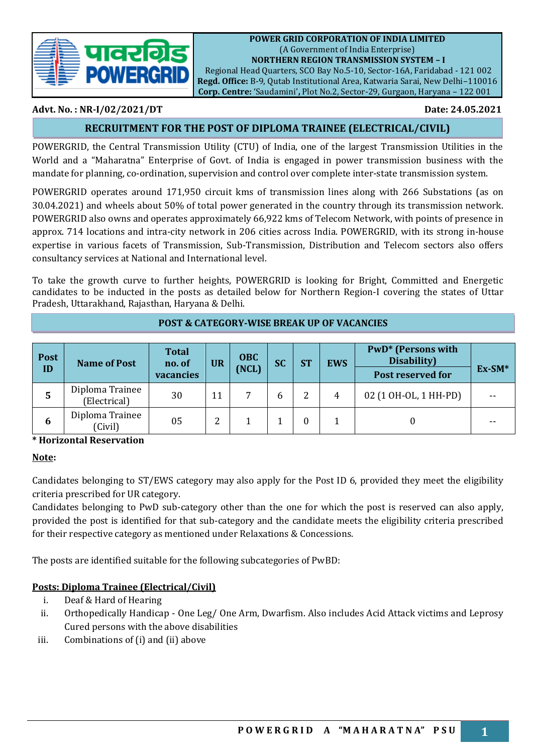

Regional Head Quarters, SCO Bay No.5-10, Sector-16A, Faridabad - 121 002 **Regd. Office:** B-9, Qutab Institutional Area, Katwaria Sarai, New Delhi–110016 **Corp. Centre:** 'Saudamini'**,** Plot No.2, Sector-29, Gurgaon, Haryana – 122 001

# **Advt. No. : NR-I/02/2021/DT Date: 24.05.2021**

# **RECRUITMENT FOR THE POST OF DIPLOMA TRAINEE (ELECTRICAL/CIVIL)**

POWERGRID, the Central Transmission Utility (CTU) of India, one of the largest Transmission Utilities in the World and a "Maharatna" Enterprise of Govt. of India is engaged in power transmission business with the mandate for planning, co-ordination, supervision and control over complete inter-state transmission system.

POWERGRID operates around 171,950 circuit kms of transmission lines along with 266 Substations (as on 30.04.2021) and wheels about 50% of total power generated in the country through its transmission network. POWERGRID also owns and operates approximately 66,922 kms of Telecom Network, with points of presence in approx. 714 locations and intra-city network in 206 cities across India. POWERGRID, with its strong in-house expertise in various facets of Transmission, Sub-Transmission, Distribution and Telecom sectors also offers consultancy services at National and International level.

To take the growth curve to further heights, POWERGRID is looking for Bright, Committed and Energetic candidates to be inducted in the posts as detailed below for Northern Region-I covering the states of Uttar Pradesh, Uttarakhand, Rajasthan, Haryana & Delhi.

| <b>Post</b><br>ID | <b>Name of Post</b>             | <b>Total</b><br>no. of<br>vacancies | <b>UR</b> | <b>OBC</b><br>(NCL) | <b>SC</b> | <b>ST</b> | <b>EWS</b> | <b>PwD*</b> (Persons with<br>Disability)<br>Post reserved for | $Ex-SM*$ |
|-------------------|---------------------------------|-------------------------------------|-----------|---------------------|-----------|-----------|------------|---------------------------------------------------------------|----------|
| 5                 | Diploma Trainee<br>(Electrical) | 30                                  |           |                     | b         | 2         | 4          | 02 (1 OH-OL, 1 HH-PD)                                         | $- -$    |
| 6                 | Diploma Trainee<br>(Civil)      | 05                                  |           |                     |           | $\Omega$  |            |                                                               |          |

# **POST & CATEGORY-WISE BREAK UP OF VACANCIES**

# **\* Horizontal Reservation**

#### **Note:**

Candidates belonging to ST/EWS category may also apply for the Post ID 6, provided they meet the eligibility criteria prescribed for UR category.

Candidates belonging to PwD sub-category other than the one for which the post is reserved can also apply, provided the post is identified for that sub-category and the candidate meets the eligibility criteria prescribed for their respective category as mentioned under Relaxations & Concessions.

The posts are identified suitable for the following subcategories of PwBD:

# **Posts: Diploma Trainee (Electrical/Civil)**

- i. Deaf & Hard of Hearing
- ii. Orthopedically Handicap One Leg/ One Arm, Dwarfism. Also includes Acid Attack victims and Leprosy Cured persons with the above disabilities
- iii. Combinations of (i) and (ii) above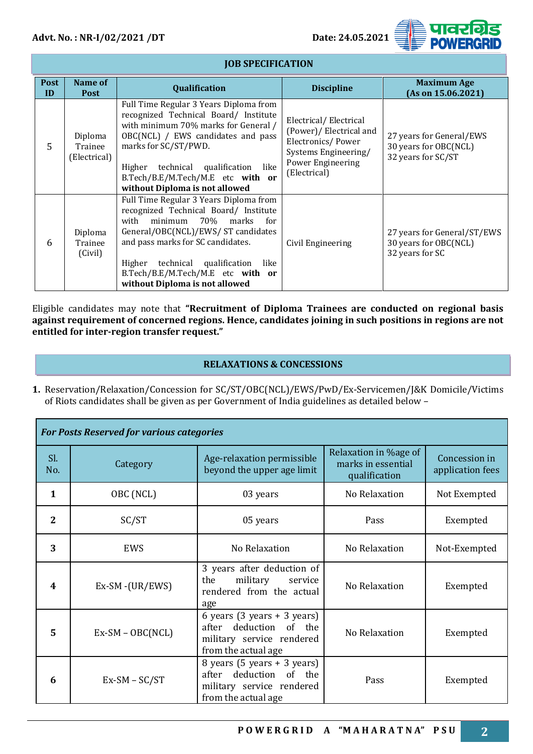

#### **Post ID Name of**  ame of **Qualification Research Age in the United States (Asian Post ) and Maximum Age <br>Post (As on 15.06.202 (As on 15.06.2021)** 5 Diploma Trainee (Electrical) Full Time Regular 3 Years Diploma from recognized Technical Board/ Institute with minimum 70% marks for General / OBC(NCL) / EWS candidates and pass marks for SC/ST/PWD. Higher technical qualification like B.Tech/B.E/M.Tech/M.E etc **with or without Diploma is not allowed** Electrical/ Electrical (Power)/ Electrical and Electronics/ Power Systems Engineering/ Power Engineering (Electrical) 27 years for General/EWS 30 years for OBC(NCL) 32 years for SC/ST 6 Diploma **Trainee** (Civil) Full Time Regular 3 Years Diploma from recognized Technical Board/ Institute with minimum 70% marks for General/OBC(NCL)/EWS/ ST candidates and pass marks for SC candidates. Higher technical qualification like B.Tech/B.E/M.Tech/M.E etc **with or without Diploma is not allowed** Civil Engineering 27 years for General/ST/EWS 30 years for OBC(NCL) 32 years for SC

Eligible candidates may note that **"Recruitment of Diploma Trainees are conducted on regional basis against requirement of concerned regions. Hence, candidates joining in such positions in regions are not entitled for inter-region transfer request."**

# **RELAXATIONS & CONCESSIONS**

**1.** Reservation/Relaxation/Concession for SC/ST/OBC(NCL)/EWS/PwD/Ex-Servicemen/J&K Domicile/Victims of Riots candidates shall be given as per Government of India guidelines as detailed below –

| <b>For Posts Reserved for various categories</b> |                    |                                                                                                                                |                                                              |                                   |  |  |
|--------------------------------------------------|--------------------|--------------------------------------------------------------------------------------------------------------------------------|--------------------------------------------------------------|-----------------------------------|--|--|
| Sl.<br>No.                                       | Category           | Age-relaxation permissible<br>beyond the upper age limit                                                                       | Relaxation in %age of<br>marks in essential<br>qualification | Concession in<br>application fees |  |  |
| 1                                                | OBC (NCL)          | 03 years                                                                                                                       | No Relaxation                                                | Not Exempted                      |  |  |
| 2                                                | SC/ST              | 05 years                                                                                                                       | Pass                                                         | Exempted                          |  |  |
| 3                                                | EWS                | No Relaxation                                                                                                                  | No Relaxation                                                | Not-Exempted                      |  |  |
| 4                                                | $Ex-SM - (UR/EWS)$ | 3 years after deduction of<br>military<br>the<br>service<br>rendered from the actual<br>age                                    | No Relaxation                                                | Exempted                          |  |  |
| 5                                                | $Ex-SM - OBC(NCL)$ | 6 years $(3 \text{ years} + 3 \text{ years})$<br>after deduction of the<br>military service rendered<br>from the actual age.   | No Relaxation                                                | Exempted                          |  |  |
| 6                                                | $Ex-SM - SC/ST$    | 8 years $(5 \text{ years} + 3 \text{ years})$<br>deduction of the<br>after<br>military service rendered<br>from the actual age | Pass                                                         | Exempted                          |  |  |

# **JOB SPECIFICATION**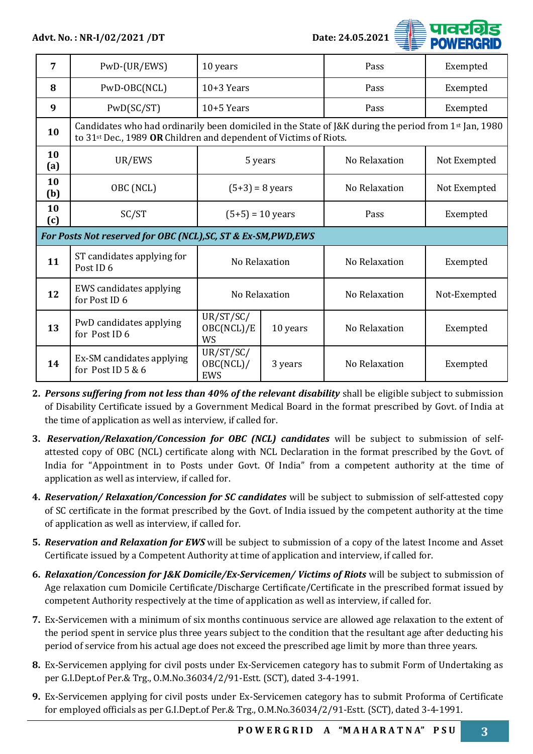

| 7         | PwD-(UR/EWS)                                                                                                                                                                             | 10 years                      |          | Pass          | Exempted     |  |  |               |              |
|-----------|------------------------------------------------------------------------------------------------------------------------------------------------------------------------------------------|-------------------------------|----------|---------------|--------------|--|--|---------------|--------------|
| 8         | PwD-OBC(NCL)                                                                                                                                                                             | $10+3$ Years                  |          | Pass          | Exempted     |  |  |               |              |
| 9         | PWD(SC/ST)                                                                                                                                                                               | $10+5$ Years                  |          | Pass          | Exempted     |  |  |               |              |
| 10        | Candidates who had ordinarily been domiciled in the State of J&K during the period from $1st$ Jan, 1980<br>to 31 <sup>st</sup> Dec., 1989 OR Children and dependent of Victims of Riots. |                               |          |               |              |  |  |               |              |
| 10<br>(a) | UR/EWS                                                                                                                                                                                   | 5 years                       |          | No Relaxation |              |  |  |               |              |
| 10<br>(b) | OBC (NCL)                                                                                                                                                                                | $(5+3) = 8$ years             |          |               |              |  |  | No Relaxation | Not Exempted |
| 10<br>(c) | SC/ST                                                                                                                                                                                    | $(5+5) = 10$ years            |          | Pass          | Exempted     |  |  |               |              |
|           | For Posts Not reserved for OBC (NCL), SC, ST & Ex-SM, PWD, EWS                                                                                                                           |                               |          |               |              |  |  |               |              |
| 11        | ST candidates applying for<br>Post ID <sub>6</sub>                                                                                                                                       | No Relaxation                 |          | No Relaxation | Exempted     |  |  |               |              |
| 12        | EWS candidates applying<br>for Post ID 6                                                                                                                                                 | No Relaxation                 |          | No Relaxation | Not-Exempted |  |  |               |              |
| 13        | PwD candidates applying<br>for Post ID 6                                                                                                                                                 | UR/ST/SC/<br>OBC(NCL)/E<br>WS | 10 years | No Relaxation | Exempted     |  |  |               |              |
| 14        | Ex-SM candidates applying<br>for Post ID 5 & 6                                                                                                                                           | UR/ST/SC/<br>OBC(NCL)/<br>EWS | 3 years  | No Relaxation | Exempted     |  |  |               |              |

**2.** *Persons suffering from not less than 40% of the relevant disability* shall be eligible subject to submission of Disability Certificate issued by a Government Medical Board in the format prescribed by Govt. of India at the time of application as well as interview, if called for.

- **3.** *Reservation/Relaxation/Concession for OBC (NCL) candidates* will be subject to submission of selfattested copy of OBC (NCL) certificate along with NCL Declaration in the format prescribed by the Govt. of India for "Appointment in to Posts under Govt. Of India" from a competent authority at the time of application as well as interview, if called for.
- **4.** *Reservation/ Relaxation/Concession for SC candidates* will be subject to submission of self-attested copy of SC certificate in the format prescribed by the Govt. of India issued by the competent authority at the time of application as well as interview, if called for.
- **5.** *Reservation and Relaxation for EWS* will be subject to submission of a copy of the latest Income and Asset Certificate issued by a Competent Authority at time of application and interview, if called for.
- **6.** *Relaxation/Concession for J&K Domicile/Ex-Servicemen/ Victims of Riots* will be subject to submission of Age relaxation cum Domicile Certificate/Discharge Certificate/Certificate in the prescribed format issued by competent Authority respectively at the time of application as well as interview, if called for.
- **7.** Ex-Servicemen with a minimum of six months continuous service are allowed age relaxation to the extent of the period spent in service plus three years subject to the condition that the resultant age after deducting his period of service from his actual age does not exceed the prescribed age limit by more than three years.
- **8.** Ex-Servicemen applying for civil posts under Ex-Servicemen category has to submit Form of Undertaking as per G.I.Dept.of Per.& Trg., O.M.No.36034/2/91-Estt. (SCT), dated 3-4-1991.
- **9.** Ex-Servicemen applying for civil posts under Ex-Servicemen category has to submit Proforma of Certificate for employed officials as per G.I.Dept.of Per.& Trg., O.M.No.36034/2/91-Estt. (SCT), dated 3-4-1991.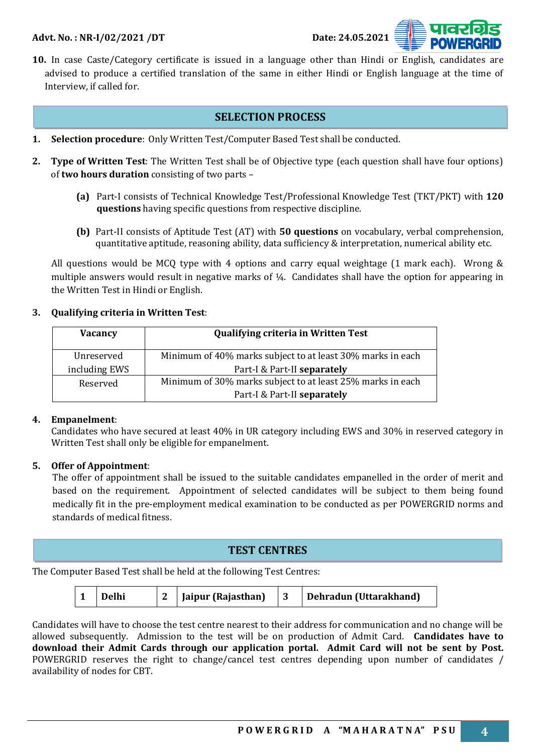

**10.** In case Caste/Category certificate is issued in a language other than Hindi or English, candidates are advised to produce a certified translation of the same in either Hindi or English language at the time of Interview, if called for.

#### **SELECTION PROCESS**

- **1. Selection procedure**: Only Written Test/Computer Based Test shall be conducted.
- **2. Type of Written Test**: The Written Test shall be of Objective type (each question shall have four options) of **two hours duration** consisting of two parts –
	- **(a)** Part-I consists of Technical Knowledge Test/Professional Knowledge Test (TKT/PKT) with **120 questions** having specific questions from respective discipline.
	- **(b)** Part-II consists of Aptitude Test (AT) with **50 questions** on vocabulary, verbal comprehension, quantitative aptitude, reasoning ability, data sufficiency & interpretation, numerical ability etc.

All questions would be MCQ type with 4 options and carry equal weightage (1 mark each). Wrong & multiple answers would result in negative marks of ¼. Candidates shall have the option for appearing in the Written Test in Hindi or English.

#### **3. Qualifying criteria in Written Test**:

| <b>Vacancy</b> | <b>Qualifying criteria in Written Test</b>                 |  |
|----------------|------------------------------------------------------------|--|
| Unreserved     | Minimum of 40% marks subject to at least 30% marks in each |  |
| including EWS  | Part-I & Part-II separately                                |  |
| Reserved       | Minimum of 30% marks subject to at least 25% marks in each |  |
|                | Part-I & Part-II separately                                |  |

#### **4. Empanelment**:

Candidates who have secured at least 40% in UR category including EWS and 30% in reserved category in Written Test shall only be eligible for empanelment.

#### **5. Offer of Appointment**:

The offer of appointment shall be issued to the suitable candidates empanelled in the order of merit and based on the requirement. Appointment of selected candidates will be subject to them being found medically fit in the pre-employment medical examination to be conducted as per POWERGRID norms and standards of medical fitness.

# **TEST CENTRES**

The Computer Based Test shall be held at the following Test Centres:

|  | Delhi |  | Jaipur (Rajasthan) |  | Dehradun (Uttarakhand) |
|--|-------|--|--------------------|--|------------------------|
|--|-------|--|--------------------|--|------------------------|

Candidates will have to choose the test centre nearest to their address for communication and no change will be allowed subsequently. Admission to the test will be on production of Admit Card. **Candidates have to download their Admit Cards through our application portal. Admit Card will not be sent by Post.**  POWERGRID reserves the right to change/cancel test centres depending upon number of candidates / availability of nodes for CBT.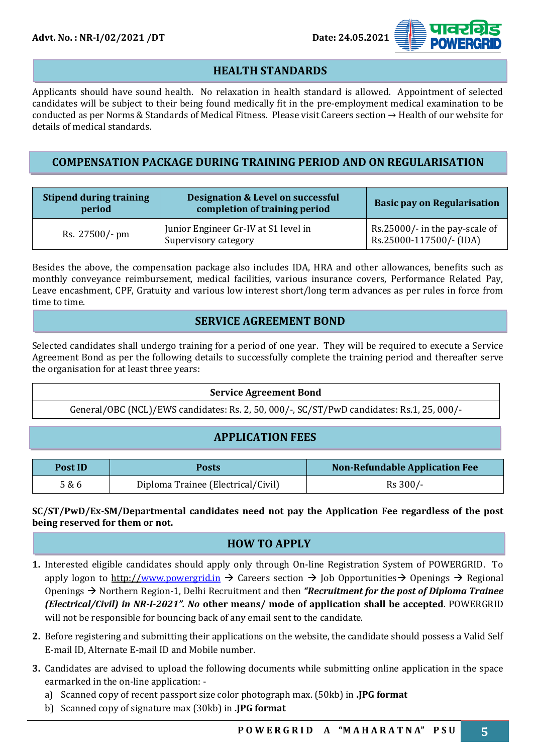

# **HEALTH STANDARDS**

Applicants should have sound health. No relaxation in health standard is allowed. Appointment of selected candidates will be subject to their being found medically fit in the pre-employment medical examination to be conducted as per Norms & Standards of Medical Fitness. Please visit Careers section → Health of our website for details of medical standards.

# **COMPENSATION PACKAGE DURING TRAINING PERIOD AND ON REGULARISATION**

| <b>Stipend during training</b><br><b>Designation &amp; Level on successful</b><br>completion of training period<br>period |                                                              | <b>Basic pay on Regularisation</b>                        |  |
|---------------------------------------------------------------------------------------------------------------------------|--------------------------------------------------------------|-----------------------------------------------------------|--|
| Rs. 27500/- pm                                                                                                            | Junior Engineer Gr-IV at S1 level in<br>Supervisory category | Rs.25000/- in the pay-scale of<br>Rs.25000-117500/- (IDA) |  |

Besides the above, the compensation package also includes IDA, HRA and other allowances, benefits such as monthly conveyance reimbursement, medical facilities, various insurance covers, Performance Related Pay, Leave encashment, CPF, Gratuity and various low interest short/long term advances as per rules in force from time to time.

# **SERVICE AGREEMENT BOND**

Selected candidates shall undergo training for a period of one year. They will be required to execute a Service Agreement Bond as per the following details to successfully complete the training period and thereafter serve the organisation for at least three years:

#### **Service Agreement Bond**

General/OBC (NCL)/EWS candidates: Rs. 2, 50, 000/-, SC/ST/PwD candidates: Rs.1, 25, 000/-

# **APPLICATION FEES**

| Post ID | Posts                              | <b>Non-Refundable Application Fee</b> |  |
|---------|------------------------------------|---------------------------------------|--|
| 5 & 6   | Diploma Trainee (Electrical/Civil) | Rs 300/-                              |  |

#### **SC/ST/PwD/Ex-SM/Departmental candidates need not pay the Application Fee regardless of the post being reserved for them or not.**

# **HOW TO APPLY**

- **1.** Interested eligible candidates should apply only through On-line Registration System of POWERGRID. To apply logon to http:/[/www.powergrid.in](http://www.powergrid.in/) → Careers section → Job Opportunities → Openings → Regional Openings → Northern Region-1, Delhi Recruitment and then *"Recruitment for the post of Diploma Trainee (Electrical/Civil) in NR-I-2021". No* **other means/ mode of application shall be accepted**. POWERGRID will not be responsible for bouncing back of any email sent to the candidate.
- **2.** Before registering and submitting their applications on the website, the candidate should possess a Valid Self E-mail ID, Alternate E-mail ID and Mobile number.
- **3.** Candidates are advised to upload the following documents while submitting online application in the space earmarked in the on-line application:
	- a) Scanned copy of recent passport size color photograph max. (50kb) in **.JPG format**
	- b) Scanned copy of signature max (30kb) in **.JPG format**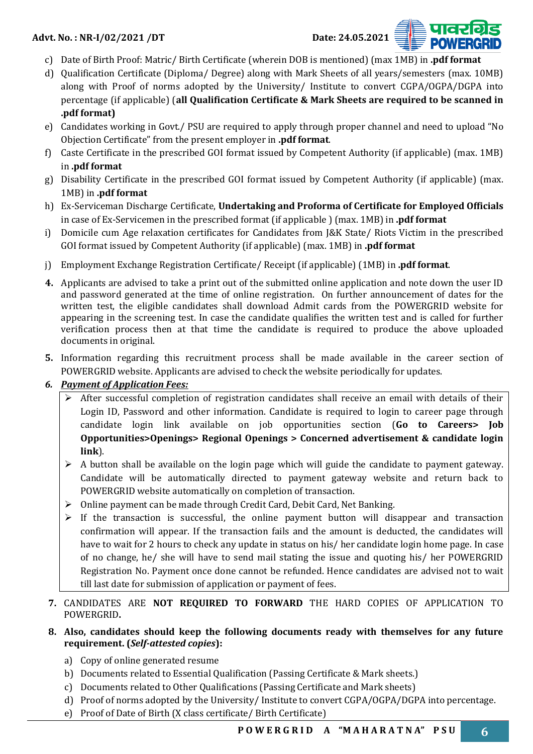

- c) Date of Birth Proof: Matric/ Birth Certificate (wherein DOB is mentioned) (max 1MB) in **.pdf format**
- d) Qualification Certificate (Diploma/ Degree) along with Mark Sheets of all years/semesters (max. 10MB) along with Proof of norms adopted by the University/ Institute to convert CGPA/OGPA/DGPA into percentage (if applicable) (**all Qualification Certificate & Mark Sheets are required to be scanned in .pdf format)**
- e) Candidates working in Govt./ PSU are required to apply through proper channel and need to upload "No Objection Certificate" from the present employer in **.pdf format**.
- f) Caste Certificate in the prescribed GOI format issued by Competent Authority (if applicable) (max. 1MB) in **.pdf format**
- g) Disability Certificate in the prescribed GOI format issued by Competent Authority (if applicable) (max. 1MB) in **.pdf format**
- h) Ex-Serviceman Discharge Certificate, **Undertaking and Proforma of Certificate for Employed Officials** in case of Ex-Servicemen in the prescribed format (if applicable ) (max. 1MB) in **.pdf format**
- i) Domicile cum Age relaxation certificates for Candidates from J&K State/ Riots Victim in the prescribed GOI format issued by Competent Authority (if applicable) (max. 1MB) in **.pdf format**
- j) Employment Exchange Registration Certificate/ Receipt (if applicable) (1MB) in **.pdf format**.
- **4.** Applicants are advised to take a print out of the submitted online application and note down the user ID and password generated at the time of online registration. On further announcement of dates for the written test, the eligible candidates shall download Admit cards from the POWERGRID website for appearing in the screening test. In case the candidate qualifies the written test and is called for further verification process then at that time the candidate is required to produce the above uploaded documents in original.
- **5.** Information regarding this recruitment process shall be made available in the career section of POWERGRID website. Applicants are advised to check the website periodically for updates.

# *6. Payment of Application Fees:*

- ➢ After successful completion of registration candidates shall receive an email with details of their Login ID, Password and other information. Candidate is required to login to career page through candidate login link available on job opportunities section (**Go to Careers> Job Opportunities>Openings> Regional Openings > Concerned advertisement & candidate login link**).
- $\triangleright$  A button shall be available on the login page which will guide the candidate to payment gateway. Candidate will be automatically directed to payment gateway website and return back to POWERGRID website automatically on completion of transaction.
- ➢ Online payment can be made through Credit Card, Debit Card, Net Banking.
- $\triangleright$  If the transaction is successful, the online payment button will disappear and transaction confirmation will appear. If the transaction fails and the amount is deducted, the candidates will have to wait for 2 hours to check any update in status on his/ her candidate login home page. In case of no change, he/ she will have to send mail stating the issue and quoting his/ her POWERGRID Registration No. Payment once done cannot be refunded. Hence candidates are advised not to wait till last date for submission of application or payment of fees.
- **7.** CANDIDATES ARE **NOT REQUIRED TO FORWARD** THE HARD COPIES OF APPLICATION TO POWERGRID**.**
- **8. Also, candidates should keep the following documents ready with themselves for any future requirement. (***Self-attested copies***):**
	- a) Copy of online generated resume
	- b) Documents related to Essential Qualification (Passing Certificate & Mark sheets.)
	- c) Documents related to Other Qualifications (Passing Certificate and Mark sheets)
	- d) Proof of norms adopted by the University/ Institute to convert CGPA/OGPA/DGPA into percentage.
	- e) Proof of Date of Birth (X class certificate/ Birth Certificate)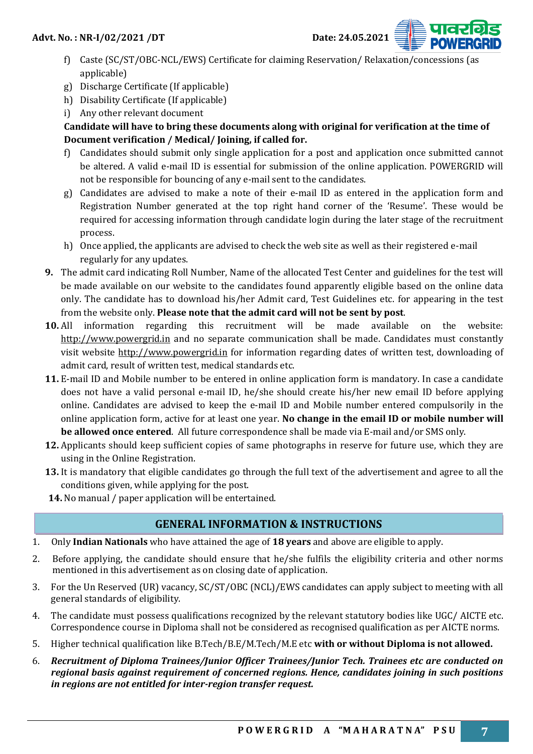- f) Caste (SC/ST/OBC-NCL/EWS) Certificate for claiming Reservation/ Relaxation/concessions (as applicable)
- g) Discharge Certificate (If applicable)
- h) Disability Certificate (If applicable)
- i) Any other relevant document

# **Candidate will have to bring these documents along with original for verification at the time of Document verification / Medical/ Joining, if called for.**

- f) Candidates should submit only single application for a post and application once submitted cannot be altered. A valid e-mail ID is essential for submission of the online application. POWERGRID will not be responsible for bouncing of any e-mail sent to the candidates.
- g) Candidates are advised to make a note of their e-mail ID as entered in the application form and Registration Number generated at the top right hand corner of the 'Resume'. These would be required for accessing information through candidate login during the later stage of the recruitment process.
- h) Once applied, the applicants are advised to check the web site as well as their registered e-mail regularly for any updates.
- **9.** The admit card indicating Roll Number, Name of the allocated Test Center and guidelines for the test will be made available on our website to the candidates found apparently eligible based on the online data only. The candidate has to download his/her Admit card, Test Guidelines etc. for appearing in the test from the website only. **Please note that the admit card will not be sent by post**.
- **10.** All information regarding this recruitment will be made available on the website: http://www.powergrid.in and no separate communication shall be made. Candidates must constantly visit website http://www.powergrid.in for information regarding dates of written test, downloading of admit card, result of written test, medical standards etc.
- **11.** E-mail ID and Mobile number to be entered in online application form is mandatory. In case a candidate does not have a valid personal e-mail ID, he/she should create his/her new email ID before applying online. Candidates are advised to keep the e-mail ID and Mobile number entered compulsorily in the online application form, active for at least one year. **No change in the email ID or mobile number will be allowed once entered**. All future correspondence shall be made via E-mail and/or SMS only.
- **12.** Applicants should keep sufficient copies of same photographs in reserve for future use, which they are using in the Online Registration.
- **13.** It is mandatory that eligible candidates go through the full text of the advertisement and agree to all the conditions given, while applying for the post.
- **14.** No manual / paper application will be entertained.

# **GENERAL INFORMATION & INSTRUCTIONS**

- 1. Only **Indian Nationals** who have attained the age of **18 years** and above are eligible to apply.
- 2. Before applying, the candidate should ensure that he/she fulfils the eligibility criteria and other norms mentioned in this advertisement as on closing date of application.
- 3. For the Un Reserved (UR) vacancy, SC/ST/OBC (NCL)/EWS candidates can apply subject to meeting with all general standards of eligibility.
- 4. The candidate must possess qualifications recognized by the relevant statutory bodies like UGC/ AICTE etc. Correspondence course in Diploma shall not be considered as recognised qualification as per AICTE norms.
- 5. Higher technical qualification like B.Tech/B.E/M.Tech/M.E etc **with or without Diploma is not allowed.**
- 6. *Recruitment of Diploma Trainees/Junior Officer Trainees/Junior Tech. Trainees etc are conducted on regional basis against requirement of concerned regions. Hence, candidates joining in such positions in regions are not entitled for inter-region transfer request.*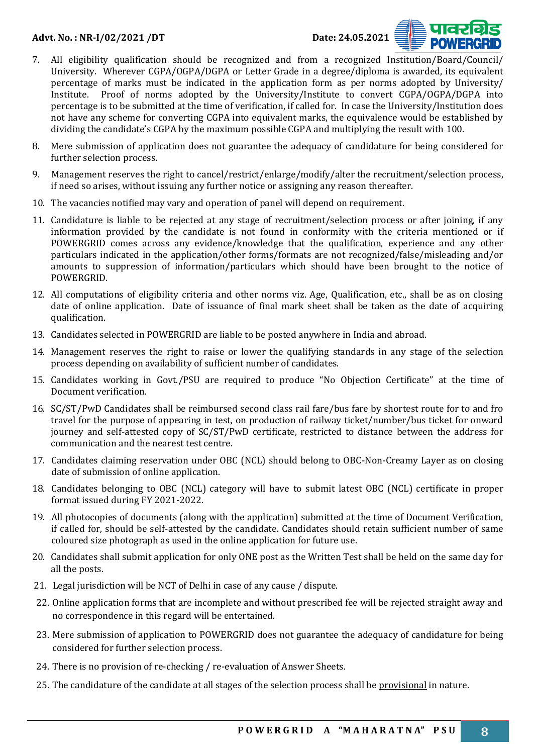

- 7. All eligibility qualification should be recognized and from a recognized Institution/Board/Council/ University. Wherever CGPA/OGPA/DGPA or Letter Grade in a degree/diploma is awarded, its equivalent percentage of marks must be indicated in the application form as per norms adopted by University/ Institute. Proof of norms adopted by the University/Institute to convert CGPA/OGPA/DGPA into percentage is to be submitted at the time of verification, if called for. In case the University/Institution does not have any scheme for converting CGPA into equivalent marks, the equivalence would be established by dividing the candidate's CGPA by the maximum possible CGPA and multiplying the result with 100.
- 8. Mere submission of application does not guarantee the adequacy of candidature for being considered for further selection process.
- 9. Management reserves the right to cancel/restrict/enlarge/modify/alter the recruitment/selection process, if need so arises, without issuing any further notice or assigning any reason thereafter.
- 10. The vacancies notified may vary and operation of panel will depend on requirement.
- 11. Candidature is liable to be rejected at any stage of recruitment/selection process or after joining, if any information provided by the candidate is not found in conformity with the criteria mentioned or if POWERGRID comes across any evidence/knowledge that the qualification, experience and any other particulars indicated in the application/other forms/formats are not recognized/false/misleading and/or amounts to suppression of information/particulars which should have been brought to the notice of POWERGRID.
- 12. All computations of eligibility criteria and other norms viz. Age, Qualification, etc., shall be as on closing date of online application. Date of issuance of final mark sheet shall be taken as the date of acquiring qualification.
- 13. Candidates selected in POWERGRID are liable to be posted anywhere in India and abroad.
- 14. Management reserves the right to raise or lower the qualifying standards in any stage of the selection process depending on availability of sufficient number of candidates.
- 15. Candidates working in Govt./PSU are required to produce "No Objection Certificate" at the time of Document verification.
- 16. SC/ST/PwD Candidates shall be reimbursed second class rail fare/bus fare by shortest route for to and fro travel for the purpose of appearing in test, on production of railway ticket/number/bus ticket for onward journey and self-attested copy of SC/ST/PwD certificate, restricted to distance between the address for communication and the nearest test centre.
- 17. Candidates claiming reservation under OBC (NCL) should belong to OBC-Non-Creamy Layer as on closing date of submission of online application.
- 18. Candidates belonging to OBC (NCL) category will have to submit latest OBC (NCL) certificate in proper format issued during FY 2021-2022.
- 19. All photocopies of documents (along with the application) submitted at the time of Document Verification, if called for, should be self-attested by the candidate. Candidates should retain sufficient number of same coloured size photograph as used in the online application for future use.
- 20. Candidates shall submit application for only ONE post as the Written Test shall be held on the same day for all the posts.
- 21. Legal jurisdiction will be NCT of Delhi in case of any cause / dispute.
- 22. Online application forms that are incomplete and without prescribed fee will be rejected straight away and no correspondence in this regard will be entertained.
- 23. Mere submission of application to POWERGRID does not guarantee the adequacy of candidature for being considered for further selection process.
- 24. There is no provision of re-checking / re-evaluation of Answer Sheets.
- 25. The candidature of the candidate at all stages of the selection process shall be provisional in nature.